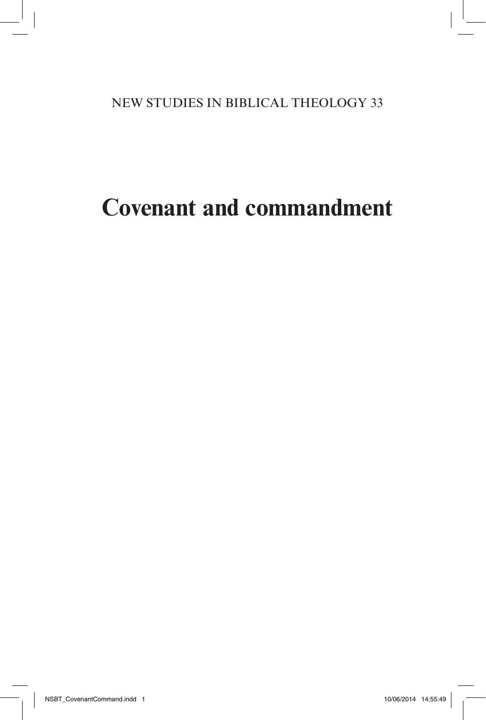NEW STUDIES IN BIBLICAL THEOLOGY 33

# **Covenant and commandment**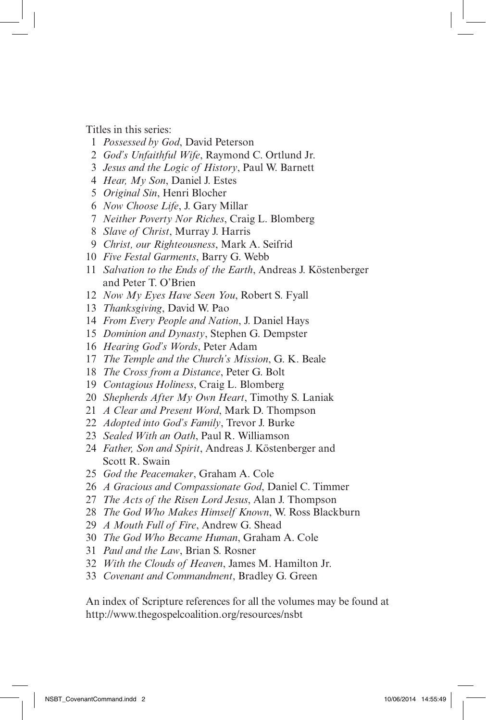Titles in this series:

- *Possessed by God*, David Peterson
- *God's Unfaithful Wife*, Raymond C. Ortlund Jr.
- *Jesus and the Logic of History*, Paul W. Barnett
- *Hear, My Son*, Daniel J. Estes
- *Original Sin*, Henri Blocher
- *Now Choose Life*, J. Gary Millar
- *Neither Poverty Nor Riches*, Craig L. Blomberg
- *Slave of Christ*, Murray J. Harris
- *Christ, our Righteousness*, Mark A. Seifrid
- *Five Festal Garments*, Barry G. Webb
- *Salvation to the Ends of the Earth*, Andreas J. Köstenberger and Peter T. O'Brien
- *Now My Eyes Have Seen You*, Robert S. Fyall
- *Thanksgiving*, David W. Pao
- *From Every People and Nation*, J. Daniel Hays
- *Dominion and Dynasty*, Stephen G. Dempster
- *Hearing God's Words*, Peter Adam
- *The Temple and the Church's Mission*, G. K. Beale
- *The Cross from a Distance*, Peter G. Bolt
- *Contagious Holiness*, Craig L. Blomberg
- *Shepherds After My Own Heart*, Timothy S. Laniak
- *A Clear and Present Word*, Mark D. Thompson
- *Adopted into God's Family*, Trevor J. Burke
- *Sealed With an Oath*, Paul R. Williamson
- *Father, Son and Spirit*, Andreas J. Köstenberger and Scott R. Swain
- *God the Peacemaker*, Graham A. Cole
- *A Gracious and Compassionate God*, Daniel C. Timmer
- *The Acts of the Risen Lord Jesus*, Alan J. Thompson
- *The God Who Makes Himself Known*, W. Ross Blackburn
- *A Mouth Full of Fire*, Andrew G. Shead
- *The God Who Became Human*, Graham A. Cole
- *Paul and the Law*, Brian S. Rosner
- *With the Clouds of Heaven*, James M. Hamilton Jr.
- *Covenant and Commandment*, Bradley G. Green

An index of Scripture references for all the volumes may be found at http://www.thegospelcoalition.org/resources/nsbt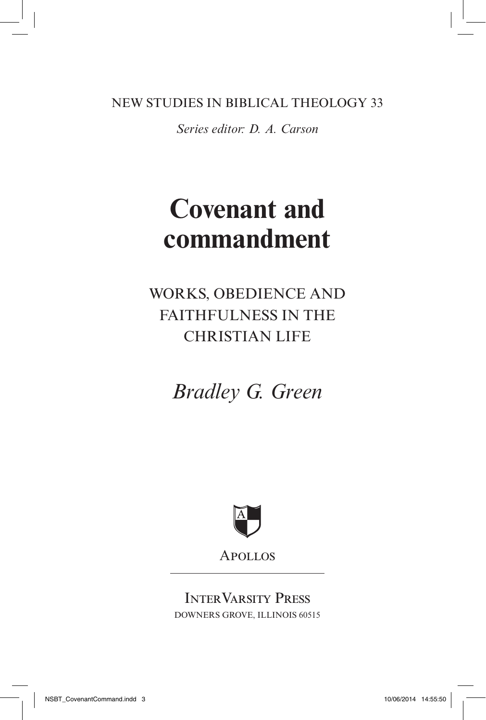NEW STUDIES IN BIBLICAL THEOLOGY 33

*Series editor: D. A. Carson*

# **Covenant and commandment**

WORKS, OBEDIENCE AND FAITHFULNESS IN THE CHRISTIAN LIFE

*Bradley G. Green*



Apollos

## InterVarsity Press

DOWNERS GROVE, ILLINOIS 60515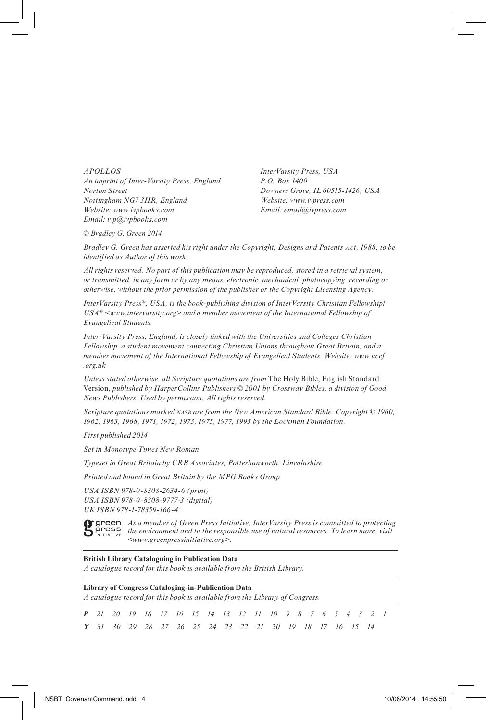*APOLLOS InterVarsity Press, USA An imprint of Inter-Varsity Press, England Norton Street Downers Grove, IL 60515-1426, USA Nottingham NG7 3HR, England Website: www.ivpress.com Website: www.ivpbooks.com Email: email@ivpress.com Email: ivp@ivpbooks.com*

© *Bradley G. Green 2014*

*Bradley G. Green has asserted his right under the Copyright, Designs and Patents Act, 1988, to be identified as Author of this work.*

*All rights reserved. No part of this publication may be reproduced, stored in a retrieval system, or transmitted, in any form or by any means, electronic, mechanical, photocopying, recording or otherwise, without the prior permission of the publisher or the Copyright Licensing Agency.*

*InterVarsity Press®, USA, is the book-publishing division of InterVarsity Christian Fellowship/ USA® <www.intervarsity.org> and a member movement of the International Fellowship of Evangelical Students.*

*Inter-Varsity Press, England, is closely linked with the Universities and Colleges Christian Fellowship, a student movement connecting Christian Unions throughout Great Britain, and a member movement of the International Fellowship of Evangelical Students. Website: www.uccf .org.uk*

*Unless stated otherwise, all Scripture quotations are from* The Holy Bible, English Standard Version, *published by HarperCollins Publishers © 2001 by Crossway Bibles, a division of Good News Publishers. Used by permission. All rights reserved.*

*Scripture quotations marked NASB are from the New American Standard Bible. Copyright © 1960, 1962, 1963, 1968, 1971, 1972, 1973, 1975, 1977, 1995 by the Lockman Foundation.*

*First published 2014*

*Set in Monotype Times New Roman*

*Typeset in Great Britain by CRB Associates, Potterhanworth, Lincolnshire*

*Printed and bound in Great Britain by the MPG Books Group*

*USA ISBN 978-0-8308-2634-6 (print) USA ISBN 978-0-8308-9777-3 (digital) UK ISBN 978-1-78359-166-4*

*As a member of Green Press Initiative, InterVarsity Press is committed to protecting*  **press** *the environment and to the responsible use of natural resources. To learn more, visit <www.greenpressinitiative.org>.*

#### **British Library Cataloguing in Publication Data**

*A catalogue record for this book is available from the British Library.*

| Library of Congress Cataloging-in-Publication Data<br>A catalogue record for this book is available from the Library of Congress. |  |  |  |  |  |  |  |  |  |  |                                                                |  |  |  |  |  |
|-----------------------------------------------------------------------------------------------------------------------------------|--|--|--|--|--|--|--|--|--|--|----------------------------------------------------------------|--|--|--|--|--|
|                                                                                                                                   |  |  |  |  |  |  |  |  |  |  | <b>P</b> 21 20 19 18 17 16 15 14 13 12 11 10 9 8 7 6 5 4 3 2 1 |  |  |  |  |  |
|                                                                                                                                   |  |  |  |  |  |  |  |  |  |  | Y 31 30 29 28 27 26 25 24 23 22 21 20 19 18 17 16 15 14        |  |  |  |  |  |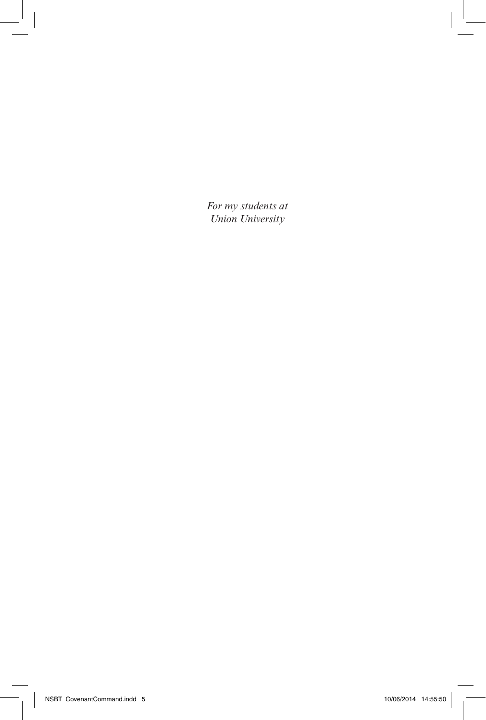*For my students at Union University*

 $\overline{\phantom{a}}$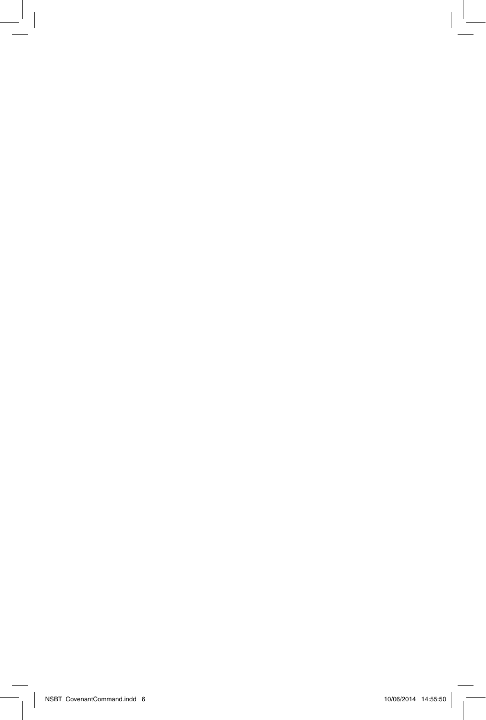$\overline{\phantom{0}}$ 

 $\overline{\phantom{a}}$ 

 $\mathbb{L}$  $\begin{array}{c} \hline \end{array}$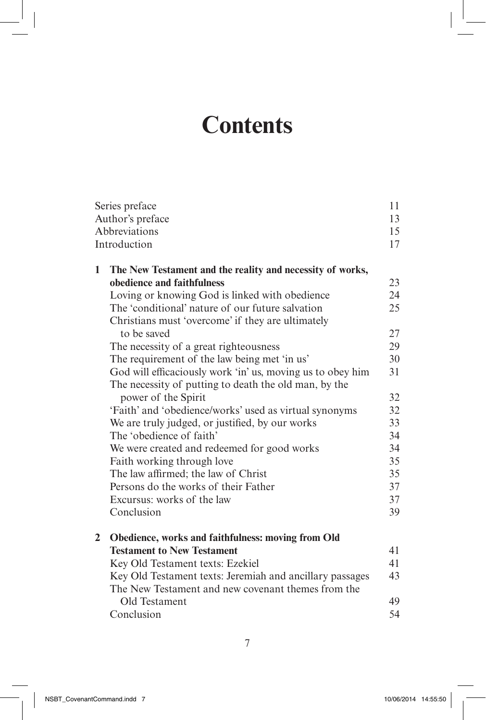# **Contents**

|              | Series preface                                             | 11       |  |  |  |  |
|--------------|------------------------------------------------------------|----------|--|--|--|--|
|              | Author's preface                                           | 13       |  |  |  |  |
|              | Abbreviations                                              | 15       |  |  |  |  |
|              | Introduction                                               | 17       |  |  |  |  |
| 1            | The New Testament and the reality and necessity of works,  |          |  |  |  |  |
|              | obedience and faithfulness                                 | 23       |  |  |  |  |
|              | Loving or knowing God is linked with obedience             | 24       |  |  |  |  |
|              | The 'conditional' nature of our future salvation           | 25       |  |  |  |  |
|              | Christians must 'overcome' if they are ultimately          |          |  |  |  |  |
|              | to be saved                                                | 27       |  |  |  |  |
|              | The necessity of a great righteousness                     | 29       |  |  |  |  |
|              | The requirement of the law being met 'in us'               | 30       |  |  |  |  |
|              | God will efficaciously work 'in' us, moving us to obey him | 31       |  |  |  |  |
|              | The necessity of putting to death the old man, by the      |          |  |  |  |  |
|              | power of the Spirit                                        | 32       |  |  |  |  |
|              | 'Faith' and 'obedience/works' used as virtual synonyms     |          |  |  |  |  |
|              | We are truly judged, or justified, by our works            | 33       |  |  |  |  |
|              | The 'obedience of faith'                                   | 34       |  |  |  |  |
|              | We were created and redeemed for good works                | 34<br>35 |  |  |  |  |
|              | Faith working through love                                 |          |  |  |  |  |
|              | The law affirmed; the law of Christ                        | 35       |  |  |  |  |
|              | Persons do the works of their Father                       | 37       |  |  |  |  |
|              | Excursus: works of the law                                 | 37       |  |  |  |  |
|              | Conclusion                                                 | 39       |  |  |  |  |
| $\mathbf{2}$ | Obedience, works and faithfulness: moving from Old         |          |  |  |  |  |
|              | <b>Testament to New Testament</b>                          | 41       |  |  |  |  |
|              | Key Old Testament texts: Ezekiel                           | 41       |  |  |  |  |
|              | Key Old Testament texts: Jeremiah and ancillary passages   | 43       |  |  |  |  |
|              | The New Testament and new covenant themes from the         |          |  |  |  |  |
|              | Old Testament                                              | 49       |  |  |  |  |
|              | Conclusion                                                 | 54       |  |  |  |  |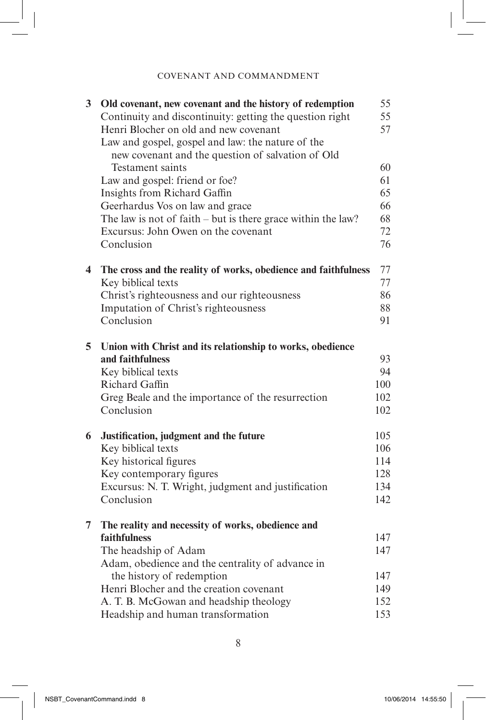| 3              | Old covenant, new covenant and the history of redemption       | 55  |
|----------------|----------------------------------------------------------------|-----|
|                | Continuity and discontinuity: getting the question right       | 55  |
|                | Henri Blocher on old and new covenant                          | 57  |
|                | Law and gospel, gospel and law: the nature of the              |     |
|                | new covenant and the question of salvation of Old              |     |
|                | Testament saints                                               | 60  |
|                | Law and gospel: friend or foe?                                 | 61  |
|                | Insights from Richard Gaffin                                   | 65  |
|                | Geerhardus Vos on law and grace                                | 66  |
|                | The law is not of faith $-$ but is there grace within the law? | 68  |
|                | Excursus: John Owen on the covenant                            | 72  |
|                | Conclusion                                                     | 76  |
| 4              | The cross and the reality of works, obedience and faithfulness | 77  |
|                | Key biblical texts                                             | 77  |
|                | Christ's righteousness and our righteousness                   | 86  |
|                | Imputation of Christ's righteousness                           | 88  |
|                | Conclusion                                                     | 91  |
| 5              | Union with Christ and its relationship to works, obedience     |     |
|                | and faithfulness                                               | 93  |
|                | Key biblical texts                                             | 94  |
|                | Richard Gaffin                                                 | 100 |
|                | Greg Beale and the importance of the resurrection              | 102 |
|                | Conclusion                                                     | 102 |
| 6              | Justification, judgment and the future                         | 105 |
|                | Key biblical texts                                             | 106 |
|                | Key historical figures                                         | 114 |
|                | Key contemporary figures                                       | 128 |
|                | Excursus: N. T. Wright, judgment and justification             | 134 |
|                | Conclusion                                                     | 142 |
| $\overline{7}$ | The reality and necessity of works, obedience and              |     |
|                | faithfulness                                                   | 147 |
|                | The headship of Adam                                           | 147 |
|                | Adam, obedience and the centrality of advance in               |     |
|                | the history of redemption                                      | 147 |
|                | Henri Blocher and the creation covenant                        | 149 |
|                | A. T. B. McGowan and headship theology                         | 152 |
|                | Headship and human transformation                              | 153 |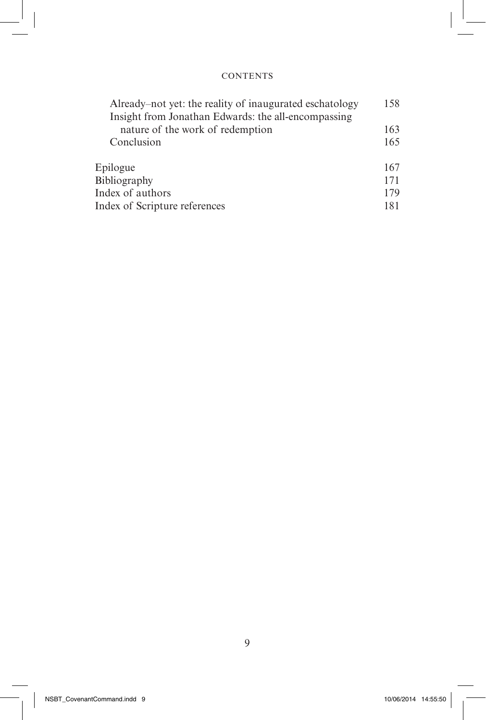#### **CONTENTS**

| Already–not yet: the reality of inaugurated eschatology | 158 |
|---------------------------------------------------------|-----|
| Insight from Jonathan Edwards: the all-encompassing     |     |
| nature of the work of redemption                        | 163 |
| Conclusion                                              | 165 |
|                                                         |     |
| Epilogue                                                | 167 |
| Bibliography                                            | 171 |
| Index of authors                                        | 179 |
| Index of Scripture references                           | 181 |
|                                                         |     |

 $\overline{\phantom{a}}$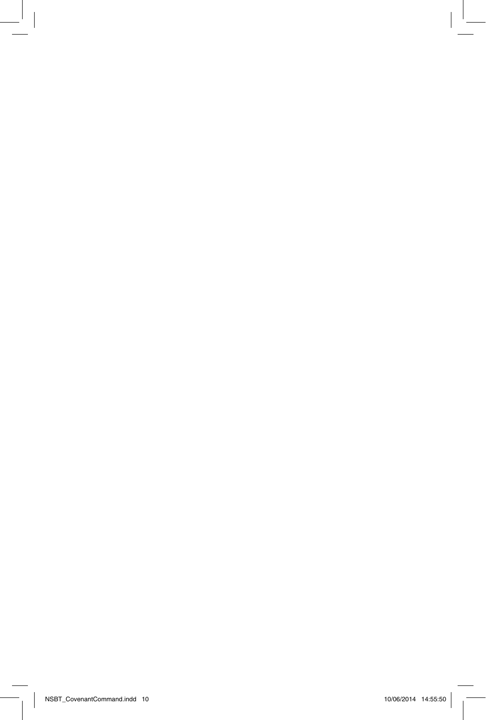Ξ

 $\overline{\phantom{a}}$ 

 $\begin{array}{c} \hline \end{array}$ 

 $\sqrt{2}$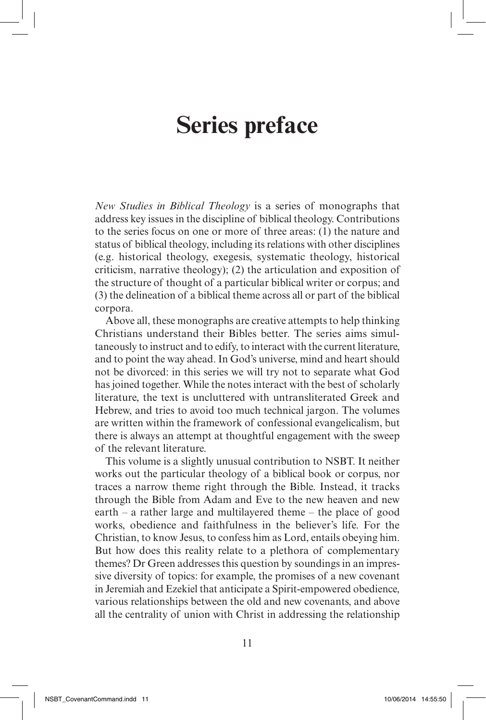## **Series preface**

*New Studies in Biblical Theology* is a series of monographs that address key issues in the discipline of biblical theology. Contributions to the series focus on one or more of three areas: (1) the nature and status of biblical theology, including its relations with other disciplines (e.g. historical theology, exegesis, systematic theology, historical criticism, narrative theology); (2) the articulation and exposition of the structure of thought of a particular biblical writer or corpus; and (3) the delineation of a biblical theme across all or part of the biblical corpora.

Above all, these monographs are creative attempts to help thinking Christians understand their Bibles better. The series aims simultaneously to instruct and to edify, to interact with the current literature, and to point the way ahead. In God's universe, mind and heart should not be divorced: in this series we will try not to separate what God has joined together. While the notes interact with the best of scholarly literature, the text is uncluttered with untransliterated Greek and Hebrew, and tries to avoid too much technical jargon. The volumes are written within the framework of confessional evangelicalism, but there is always an attempt at thoughtful engagement with the sweep of the relevant literature.

This volume is a slightly unusual contribution to NSBT. It neither works out the particular theology of a biblical book or corpus, nor traces a narrow theme right through the Bible. Instead, it tracks through the Bible from Adam and Eve to the new heaven and new earth – a rather large and multilayered theme – the place of good works, obedience and faithfulness in the believer's life. For the Christian, to know Jesus, to confess him as Lord, entails obeying him. But how does this reality relate to a plethora of complementary themes? Dr Green addresses this question by soundings in an impressive diversity of topics: for example, the promises of a new covenant in Jeremiah and Ezekiel that anticipate a Spirit-empowered obedience, various relationships between the old and new covenants, and above all the centrality of union with Christ in addressing the relationship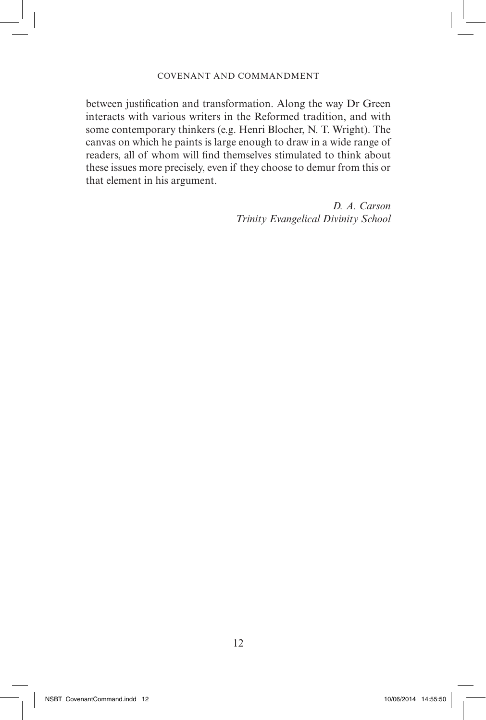between justifcation and transformation. Along the way Dr Green interacts with various writers in the Reformed tradition, and with some contemporary thinkers (e.g. Henri Blocher, N. T. Wright). The canvas on which he paints is large enough to draw in a wide range of readers, all of whom will fnd themselves stimulated to think about these issues more precisely, even if they choose to demur from this or that element in his argument.

> *D. A. Carson Trinity Evangelical Divinity School*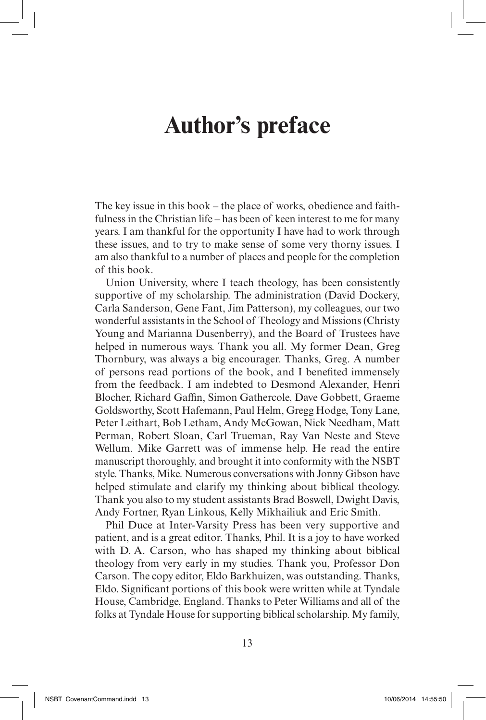## **Author's preface**

The key issue in this book – the place of works, obedience and faithfulness in the Christian life – has been of keen interest to me for many years. I am thankful for the opportunity I have had to work through these issues, and to try to make sense of some very thorny issues. I am also thankful to a number of places and people for the completion of this book.

Union University, where I teach theology, has been consistently supportive of my scholarship. The administration (David Dockery, Carla Sanderson, Gene Fant, Jim Patterson), my colleagues, our two wonderful assistants in the School of Theology and Missions (Christy Young and Marianna Dusenberry), and the Board of Trustees have helped in numerous ways. Thank you all. My former Dean, Greg Thornbury, was always a big encourager. Thanks, Greg. A number of persons read portions of the book, and I benefted immensely from the feedback. I am indebted to Desmond Alexander, Henri Blocher, Richard Gaffin, Simon Gathercole, Dave Gobbett, Graeme Goldsworthy, Scott Hafemann, Paul Helm, Gregg Hodge, Tony Lane, Peter Leithart, Bob Letham, Andy McGowan, Nick Needham, Matt Perman, Robert Sloan, Carl Trueman, Ray Van Neste and Steve Wellum. Mike Garrett was of immense help. He read the entire manuscript thoroughly, and brought it into conformity with the NSBT style. Thanks, Mike. Numerous conversations with Jonny Gibson have helped stimulate and clarify my thinking about biblical theology. Thank you also to my student assistants Brad Boswell, Dwight Davis, Andy Fortner, Ryan Linkous, Kelly Mikhailiuk and Eric Smith.

Phil Duce at Inter-Varsity Press has been very supportive and patient, and is a great editor. Thanks, Phil. It is a joy to have worked with D. A. Carson, who has shaped my thinking about biblical theology from very early in my studies. Thank you, Professor Don Carson. The copy editor, Eldo Barkhuizen, was outstanding. Thanks, Eldo. Signifcant portions of this book were written while at Tyndale House, Cambridge, England. Thanks to Peter Williams and all of the folks at Tyndale House for supporting biblical scholarship. My family,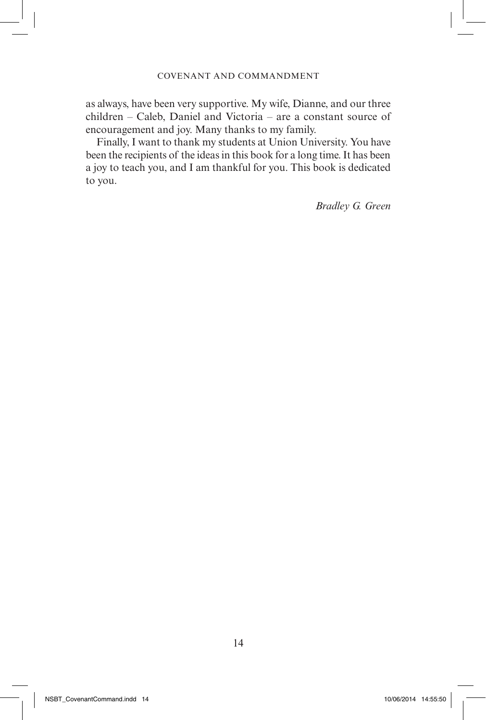as always, have been very supportive. My wife, Dianne, and our three children – Caleb, Daniel and Victoria – are a constant source of encouragement and joy. Many thanks to my family.

Finally, I want to thank my students at Union University. You have been the recipients of the ideas in this book for a long time. It has been a joy to teach you, and I am thankful for you. This book is dedicated to you.

*Bradley G. Green*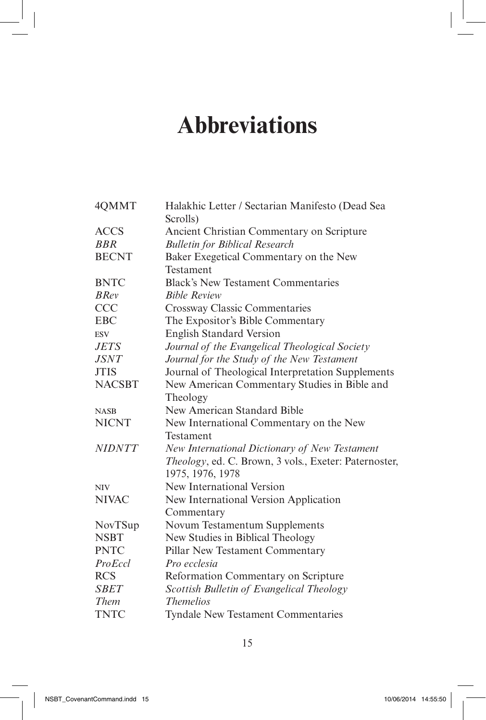# **Abbreviations**

| 4QMMT         | Halakhic Letter / Sectarian Manifesto (Dead Sea       |
|---------------|-------------------------------------------------------|
|               | Scrolls)                                              |
| <b>ACCS</b>   | Ancient Christian Commentary on Scripture             |
| <b>BBR</b>    | <b>Bulletin for Biblical Research</b>                 |
| <b>BECNT</b>  | Baker Exegetical Commentary on the New                |
|               | Testament                                             |
| <b>BNTC</b>   | <b>Black's New Testament Commentaries</b>             |
| <b>BRev</b>   | <b>Bible Review</b>                                   |
| <b>CCC</b>    | Crossway Classic Commentaries                         |
| <b>EBC</b>    | The Expositor's Bible Commentary                      |
| <b>ESV</b>    | <b>English Standard Version</b>                       |
| <i>JETS</i>   | Journal of the Evangelical Theological Society        |
| <i>JSNT</i>   | Journal for the Study of the New Testament            |
| <b>JTIS</b>   | Journal of Theological Interpretation Supplements     |
| <b>NACSBT</b> | New American Commentary Studies in Bible and          |
|               | Theology                                              |
| <b>NASB</b>   | New American Standard Bible                           |
| <b>NICNT</b>  | New International Commentary on the New               |
|               | Testament                                             |
| <b>NIDNTT</b> | New International Dictionary of New Testament         |
|               | Theology, ed. C. Brown, 3 vols., Exeter: Paternoster, |
|               | 1975, 1976, 1978                                      |
| <b>NIV</b>    | New International Version                             |
| <b>NIVAC</b>  | New International Version Application                 |
|               | Commentary                                            |
| NovTSup       | Novum Testamentum Supplements                         |
| <b>NSBT</b>   | New Studies in Biblical Theology                      |
| <b>PNTC</b>   | Pillar New Testament Commentary                       |
| ProEccl       | Pro ecclesia                                          |
| <b>RCS</b>    | Reformation Commentary on Scripture                   |
| <b>SBET</b>   | Scottish Bulletin of Evangelical Theology             |
| <b>Them</b>   | <b>Themelios</b>                                      |
| <b>TNTC</b>   | <b>Tyndale New Testament Commentaries</b>             |
|               |                                                       |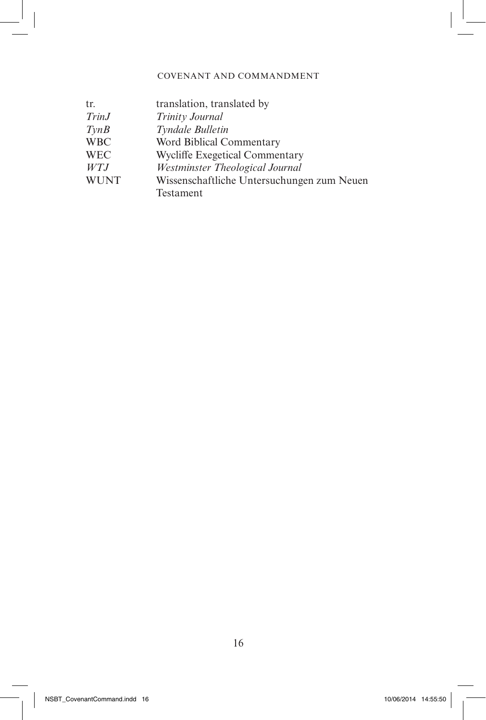| tr.         | translation, translated by                 |
|-------------|--------------------------------------------|
| TrinJ       | Trinity Journal                            |
| TynB        | Tyndale Bulletin                           |
| <b>WBC</b>  | Word Biblical Commentary                   |
| <b>WEC</b>  | <b>Wycliffe Exegetical Commentary</b>      |
| <i>WTJ</i>  | Westminster Theological Journal            |
| <b>WUNT</b> | Wissenschaftliche Untersuchungen zum Neuen |
|             | Testament                                  |

16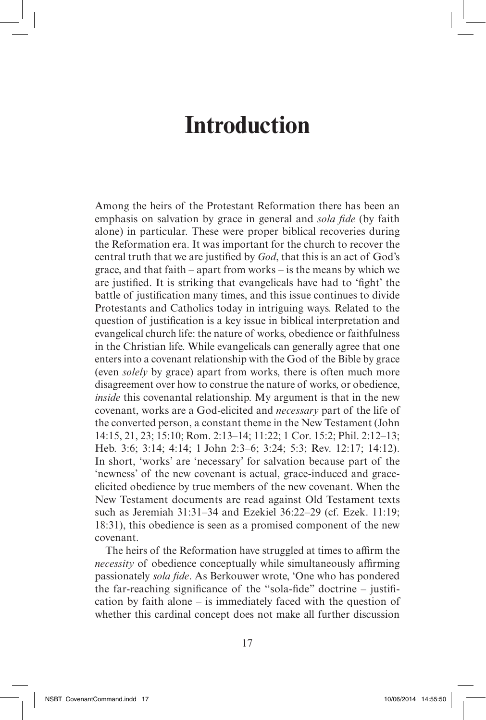## **Introduction**

Among the heirs of the Protestant Reformation there has been an emphasis on salvation by grace in general and *sola fde* (by faith alone) in particular. These were proper biblical recoveries during the Reformation era. It was important for the church to recover the central truth that we are justifed by *God*, that this is an act of God's grace, and that faith – apart from works – is the means by which we are justifed. It is striking that evangelicals have had to 'fght' the battle of justifcation many times, and this issue continues to divide Protestants and Catholics today in intriguing ways. Related to the question of justifcation is a key issue in biblical interpretation and evangelical church life: the nature of works, obedience or faithfulness in the Christian life. While evangelicals can generally agree that one enters into a covenant relationship with the God of the Bible by grace (even *solely* by grace) apart from works, there is often much more disagreement over how to construe the nature of works, or obedience, *inside* this covenantal relationship. My argument is that in the new covenant, works are a God-elicited and *necessary* part of the life of the converted person, a constant theme in the New Testament (John 14:15, 21, 23; 15:10; Rom. 2:13–14; 11:22; 1 Cor. 15:2; Phil. 2:12–13; Heb. 3:6; 3:14; 4:14; 1 John 2:3–6; 3:24; 5:3; Rev. 12:17; 14:12). In short, 'works' are 'necessary' for salvation because part of the 'newness' of the new covenant is actual, grace-induced and graceelicited obedience by true members of the new covenant. When the New Testament documents are read against Old Testament texts such as Jeremiah 31:31–34 and Ezekiel 36:22–29 (cf. Ezek. 11:19; 18:31), this obedience is seen as a promised component of the new covenant.

The heirs of the Reformation have struggled at times to affirm the *necessity* of obedience conceptually while simultaneously affirming passionately *sola fde*. As Berkouwer wrote, 'One who has pondered the far-reaching signifcance of the "sola-fde" doctrine – justifcation by faith alone – is immediately faced with the question of whether this cardinal concept does not make all further discussion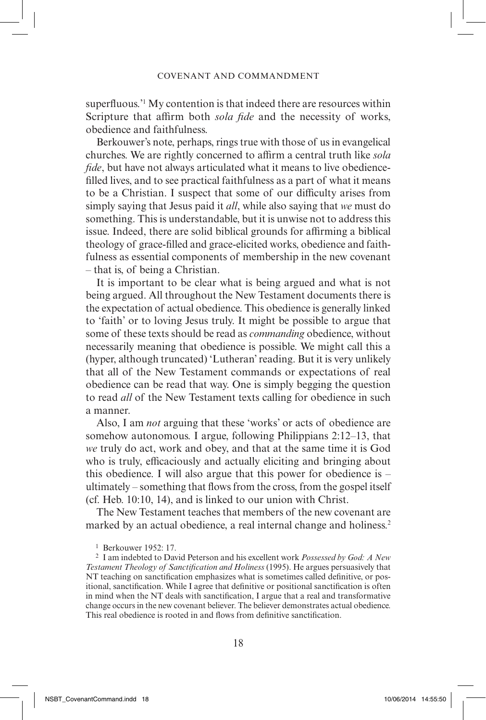superfuous.'1 My contention is that indeed there are resources within Scripture that affirm both *sola fide* and the necessity of works, obedience and faithfulness.

Berkouwer's note, perhaps, rings true with those of us in evangelical churches. We are rightly concerned to affirm a central truth like *sola fde*, but have not always articulated what it means to live obedienceflled lives, and to see practical faithfulness as a part of what it means to be a Christian. I suspect that some of our difficulty arises from simply saying that Jesus paid it *all*, while also saying that *we* must do something. This is understandable, but it is unwise not to address this issue. Indeed, there are solid biblical grounds for affirming a biblical theology of grace-flled and grace-elicited works, obedience and faithfulness as essential components of membership in the new covenant – that is, of being a Christian.

It is important to be clear what is being argued and what is not being argued. All throughout the New Testament documents there is the expectation of actual obedience. This obedience is generally linked to 'faith' or to loving Jesus truly. It might be possible to argue that some of these texts should be read as *commanding* obedience, without necessarily meaning that obedience is possible. We might call this a (hyper, although truncated) 'Lutheran' reading. But it is very unlikely that all of the New Testament commands or expectations of real obedience can be read that way. One is simply begging the question to read *all* of the New Testament texts calling for obedience in such a manner.

Also, I am *not* arguing that these 'works' or acts of obedience are somehow autonomous. I argue, following Philippians 2:12–13, that *we* truly do act, work and obey, and that at the same time it is God who is truly, efficaciously and actually eliciting and bringing about this obedience. I will also argue that this power for obedience is – ultimately – something that fows from the cross, from the gospel itself (cf. Heb. 10:10, 14), and is linked to our union with Christ.

The New Testament teaches that members of the new covenant are marked by an actual obedience, a real internal change and holiness.<sup>2</sup>

<sup>1</sup> Berkouwer 1952: 17.

<sup>2</sup> I am indebted to David Peterson and his excellent work *Possessed by God: A New Testament Theology of Sanctifcation and Holiness* (1995). He argues persuasively that NT teaching on sanctifcation emphasizes what is sometimes called defnitive, or positional, sanctifcation. While I agree that defnitive or positional sanctifcation is often in mind when the NT deals with sanctifcation, I argue that a real and transformative change occurs in the new covenant believer. The believer demonstrates actual obedience. This real obedience is rooted in and flows from definitive sanctification.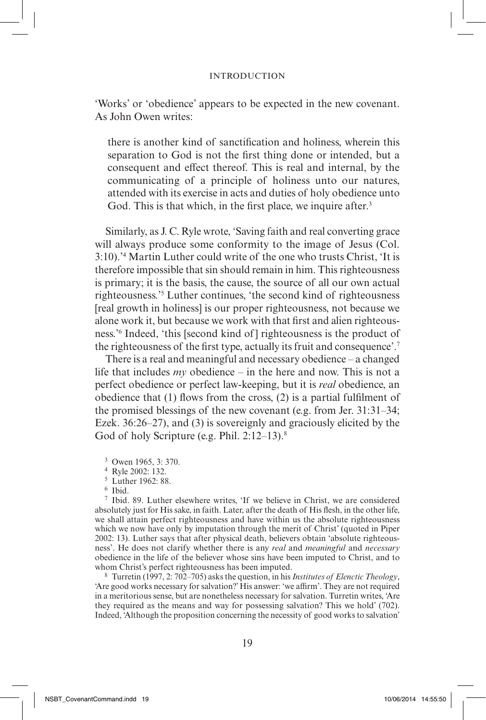#### INTRODUCTION

'Works' or 'obedience' appears to be expected in the new covenant. As John Owen writes:

there is another kind of sanctifcation and holiness, wherein this separation to God is not the frst thing done or intended, but a consequent and efect thereof. This is real and internal, by the communicating of a principle of holiness unto our natures, attended with its exercise in acts and duties of holy obedience unto God. This is that which, in the first place, we inquire after.<sup>3</sup>

Similarly, as J. C. Ryle wrote, 'Saving faith and real converting grace will always produce some conformity to the image of Jesus (Col.) 3:10).'4 Martin Luther could write of the one who trusts Christ, 'It is therefore impossible that sin should remain in him. This righteousness is primary; it is the basis, the cause, the source of all our own actual righteousness.'5 Luther continues, 'the second kind of righteousness [real growth in holiness] is our proper righteousness, not because we alone work it, but because we work with that frst and alien righteousness.'6 Indeed, 'this [second kind of] righteousness is the product of the righteousness of the frst type, actually its fruit and consequence'.7

There is a real and meaningful and necessary obedience – a changed life that includes *my* obedience – in the here and now. This is not a perfect obedience or perfect law-keeping, but it is *real* obedience, an obedience that  $(1)$  flows from the cross,  $(2)$  is a partial fulfilment of the promised blessings of the new covenant (e.g. from Jer. 31:31–34; Ezek. 36:26–27), and (3) is sovereignly and graciously elicited by the God of holy Scripture (e.g. Phil. 2:12–13).<sup>8</sup>

<sup>7</sup> Ibid. 89. Luther elsewhere writes, 'If we believe in Christ, we are considered absolutely just for His sake, in faith. Later, after the death of His fesh, in the other life, we shall attain perfect righteousness and have within us the absolute righteousness which we now have only by imputation through the merit of Christ' (quoted in Piper 2002: 13). Luther says that after physical death, believers obtain 'absolute righteousness'. He does not clarify whether there is any *real* and *meaningful* and *necessary*  obedience in the life of the believer whose sins have been imputed to Christ, and to whom Christ's perfect righteousness has been imputed.

<sup>8</sup> Turretin (1997, 2: 702–705) asks the question, in his *Institutes of Elenctic Theology*, 'Are good works necessary for salvation?' His answer: 'we affirm'. They are not required in a meritorious sense, but are nonetheless necessary for salvation. Turretin writes, 'Are they required as the means and way for possessing salvation? This we hold' (702). Indeed, 'Although the proposition concerning the necessity of good works to salvation'

<sup>3</sup> Owen 1965, 3: 370.

<sup>4</sup> Ryle 2002: 132.

<sup>5</sup> Luther 1962: 88.

<sup>6</sup> Ibid.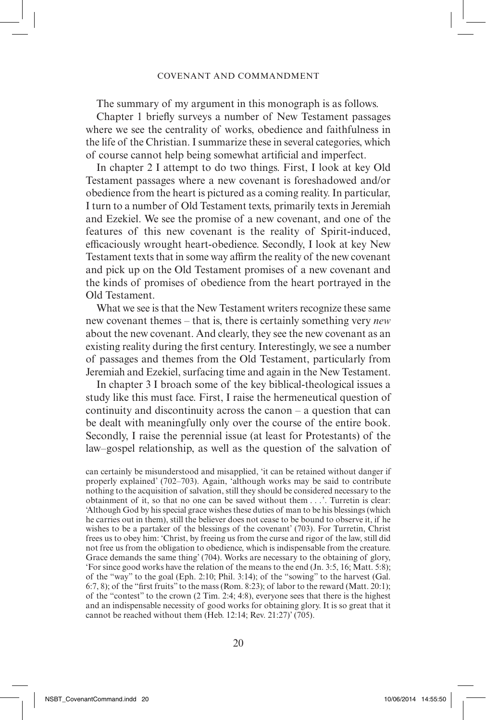The summary of my argument in this monograph is as follows.

Chapter 1 briefy surveys a number of New Testament passages where we see the centrality of works, obedience and faithfulness in the life of the Christian. I summarize these in several categories, which of course cannot help being somewhat artifcial and imperfect.

In chapter 2 I attempt to do two things. First, I look at key Old Testament passages where a new covenant is foreshadowed and/or obedience from the heart is pictured as a coming reality. In particular, I turn to a number of Old Testament texts, primarily texts in Jeremiah and Ezekiel. We see the promise of a new covenant, and one of the features of this new covenant is the reality of Spirit-induced, efficaciously wrought heart-obedience. Secondly, I look at key New Testament texts that in some way affirm the reality of the new covenant and pick up on the Old Testament promises of a new covenant and the kinds of promises of obedience from the heart portrayed in the Old Testament.

What we see is that the New Testament writers recognize these same new covenant themes – that is, there is certainly something very *new*  about the new covenant. And clearly, they see the new covenant as an existing reality during the frst century. Interestingly, we see a number of passages and themes from the Old Testament, particularly from Jeremiah and Ezekiel, surfacing time and again in the New Testament.

In chapter 3 I broach some of the key biblical-theological issues a study like this must face. First, I raise the hermeneutical question of continuity and discontinuity across the canon – a question that can be dealt with meaningfully only over the course of the entire book. Secondly, I raise the perennial issue (at least for Protestants) of the law–gospel relationship, as well as the question of the salvation of

can certainly be misunderstood and misapplied, 'it can be retained without danger if properly explained' (702–703). Again, 'although works may be said to contribute nothing to the acquisition of salvation, still they should be considered necessary to the obtainment of it, so that no one can be saved without them . . . '. Turretin is clear: 'Although God by his special grace wishes these duties of man to be his blessings (which he carries out in them), still the believer does not cease to be bound to observe it, if he wishes to be a partaker of the blessings of the covenant' (703). For Turretin, Christ frees us to obey him: 'Christ, by freeing us from the curse and rigor of the law, still did not free us from the obligation to obedience, which is indispensable from the creature. Grace demands the same thing' (704). Works are necessary to the obtaining of glory, 'For since good works have the relation of the means to the end (Jn. 3:5, 16; Matt. 5:8); of the "way" to the goal (Eph. 2:10; Phil. 3:14); of the "sowing" to the harvest (Gal. 6:7, 8); of the "frst fruits" to the mass (Rom. 8:23); of labor to the reward (Matt. 20:1); of the "contest" to the crown (2 Tim. 2:4; 4:8), everyone sees that there is the highest and an indispensable necessity of good works for obtaining glory. It is so great that it cannot be reached without them (Heb. 12:14; Rev. 21:27)' (705).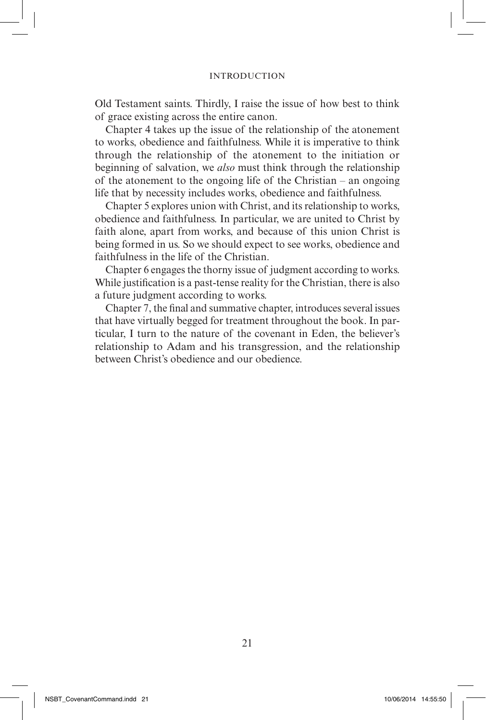#### INTRODUCTION

Old Testament saints. Thirdly, I raise the issue of how best to think of grace existing across the entire canon.

Chapter 4 takes up the issue of the relationship of the atonement to works, obedience and faithfulness. While it is imperative to think through the relationship of the atonement to the initiation or beginning of salvation, we *also* must think through the relationship of the atonement to the ongoing life of the Christian – an ongoing life that by necessity includes works, obedience and faithfulness.

Chapter 5 explores union with Christ, and its relationship to works, obedience and faithfulness. In particular, we are united to Christ by faith alone, apart from works, and because of this union Christ is being formed in us. So we should expect to see works, obedience and faithfulness in the life of the Christian.

Chapter 6 engages the thorny issue of judgment according to works. While justifcation is a past-tense reality for the Christian, there is also a future judgment according to works.

Chapter 7, the fnal and summative chapter, introduces several issues that have virtually begged for treatment throughout the book. In particular, I turn to the nature of the covenant in Eden, the believer's relationship to Adam and his transgression, and the relationship between Christ's obedience and our obedience.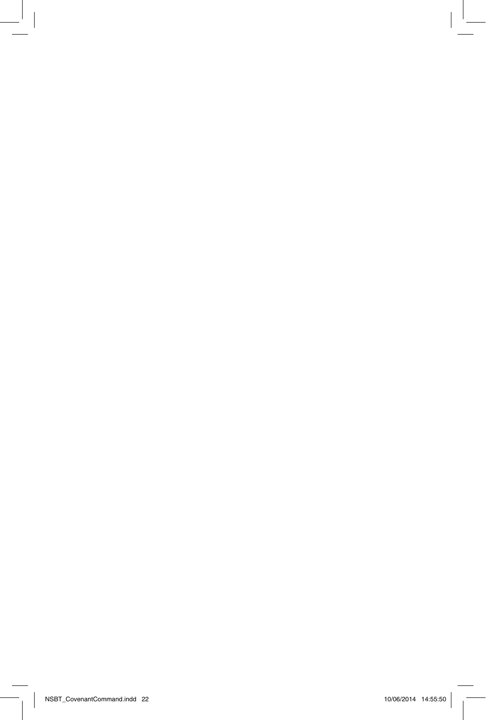$\overline{\phantom{0}}$ 

 $\overline{\phantom{a}}$ 

 $\mathbb{L}$  $\begin{array}{c} \hline \end{array}$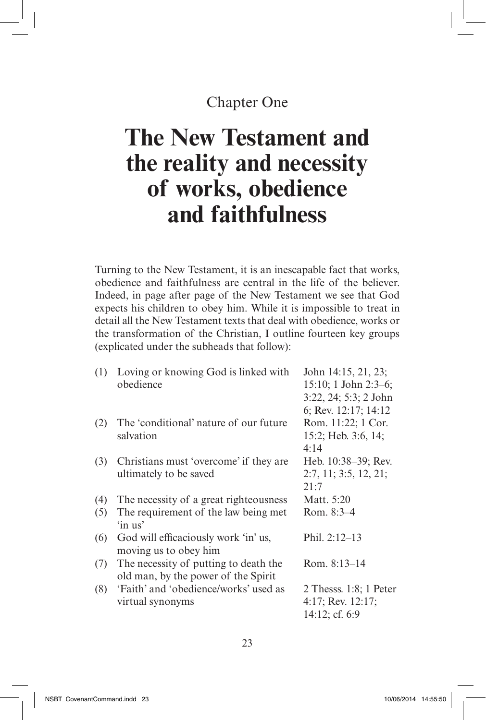## Chapter One

## **The New Testament and the reality and necessity of works, obedience and faithfulness**

Turning to the New Testament, it is an inescapable fact that works, obedience and faithfulness are central in the life of the believer. Indeed, in page after page of the New Testament we see that God expects his children to obey him. While it is impossible to treat in detail all the New Testament texts that deal with obedience, works or the transformation of the Christian, I outline fourteen key groups (explicated under the subheads that follow):

| (1) | Loving or knowing God is linked with<br>obedience | John 14:15, 21, 23;<br>$15:10; 1$ John 2:3-6; |
|-----|---------------------------------------------------|-----------------------------------------------|
|     |                                                   | 3:22, 24; 5:3; 2 John                         |
|     |                                                   | 6; Rev. 12:17; 14:12                          |
| (2) | The 'conditional' nature of our future            | Rom. 11:22; 1 Cor.                            |
|     | salvation                                         | 15:2; Heb. 3:6, 14;                           |
|     |                                                   | 4:14                                          |
| (3) | Christians must 'overcome' if they are            | Heb. 10:38-39; Rev.                           |
|     | ultimately to be saved                            | 2:7, 11; 3:5, 12, 21;                         |
|     |                                                   | 21:7                                          |
| (4) | The necessity of a great righteousness            | Matt. 5:20                                    |
| (5) | The requirement of the law being met              | Rom. 8:3–4                                    |
|     | 'in us'                                           |                                               |
| (6) | God will efficaciously work 'in' us,              | Phil. $2:12-13$                               |
|     | moving us to obey him                             |                                               |
| (7) | The necessity of putting to death the             | Rom. $8:13-14$                                |
|     | old man, by the power of the Spirit               |                                               |
| (8) | 'Faith' and 'obedience/works' used as             | 2 Thesss. $1:8$ ; 1 Peter                     |
|     | virtual synonyms                                  | 4:17; Rev. 12:17;                             |
|     |                                                   | 14:12; cf. 6:9                                |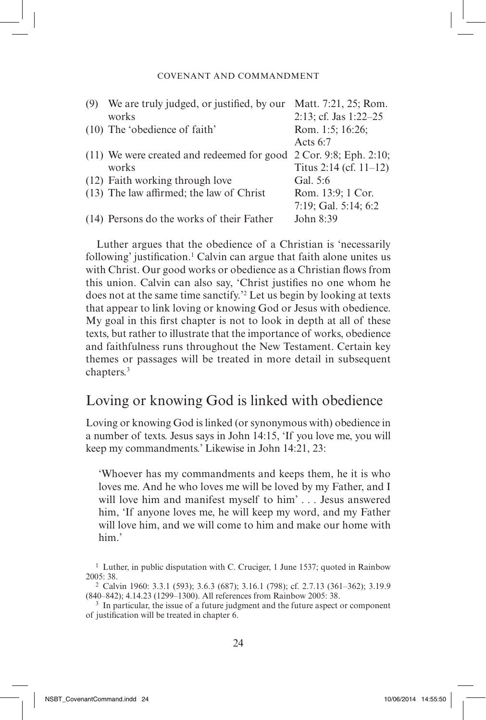| (9) | We are truly judged, or justified, by our                           | Matt. 7:21, 25; Rom.        |
|-----|---------------------------------------------------------------------|-----------------------------|
|     | works                                                               | 2:13; cf. Jas 1:22-25       |
|     | (10) The 'obedience of faith'                                       | Rom. 1:5; 16:26;            |
|     |                                                                     | Acts $6:7$                  |
|     | $(11)$ We were created and redeemed for good 2 Cor. 9:8; Eph. 2:10; |                             |
|     | works                                                               | Titus $2:14$ (cf. $11-12$ ) |
|     | (12) Faith working through love                                     | Gal. 5:6                    |
|     | (13) The law affirmed; the law of Christ                            | Rom. 13:9; 1 Cor.           |
|     |                                                                     | 7:19; Gal. 5:14; 6:2        |
|     | (14) Persons do the works of their Father                           | John 8:39                   |

Luther argues that the obedience of a Christian is 'necessarily following' justification.<sup>1</sup> Calvin can argue that faith alone unites us with Christ. Our good works or obedience as a Christian flows from this union. Calvin can also say, 'Christ justifes no one whom he does not at the same time sanctify.'2 Let us begin by looking at texts that appear to link loving or knowing God or Jesus with obedience. My goal in this frst chapter is not to look in depth at all of these texts, but rather to illustrate that the importance of works, obedience and faithfulness runs throughout the New Testament. Certain key themes or passages will be treated in more detail in subsequent chapters.3

### Loving or knowing God is linked with obedience

Loving or knowing God is linked (or synonymous with) obedience in a number of texts. Jesus says in John 14:15, 'If you love me, you will keep my commandments.' Likewise in John 14:21, 23:

'Whoever has my commandments and keeps them, he it is who loves me. And he who loves me will be loved by my Father, and I will love him and manifest myself to him' . . . Jesus answered him, 'If anyone loves me, he will keep my word, and my Father will love him, and we will come to him and make our home with him.'

<sup>&</sup>lt;sup>1</sup> Luther, in public disputation with C. Cruciger, 1 June 1537; quoted in Rainbow 2005: 38.

<sup>2</sup> Calvin 1960: 3.3.1 (593); 3.6.3 (687); 3.16.1 (798); cf. 2.7.13 (361–362); 3.19.9 (840–842); 4.14.23 (1299–1300). All references from Rainbow 2005: 38.

<sup>&</sup>lt;sup>3</sup> In particular, the issue of a future judgment and the future aspect or component of justifcation will be treated in chapter 6.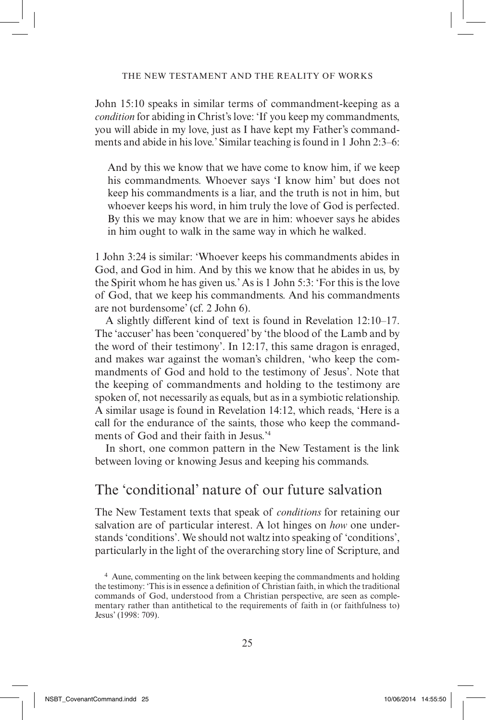#### THE NEW TESTAMENT AND THE REALITY OF WORKS

John 15:10 speaks in similar terms of commandment-keeping as a *condition* for abiding in Christ's love: 'If you keep my commandments, you will abide in my love, just as I have kept my Father's commandments and abide in his love.' Similar teaching is found in 1 John 2:3–6:

And by this we know that we have come to know him, if we keep his commandments. Whoever says 'I know him' but does not keep his commandments is a liar, and the truth is not in him, but whoever keeps his word, in him truly the love of God is perfected. By this we may know that we are in him: whoever says he abides in him ought to walk in the same way in which he walked.

1 John 3:24 is similar: 'Whoever keeps his commandments abides in God, and God in him. And by this we know that he abides in us, by the Spirit whom he has given us.' As is 1 John 5:3: 'For this is the love of God, that we keep his commandments. And his commandments are not burdensome' (cf. 2 John 6).

A slightly diferent kind of text is found in Revelation 12:10–17. The 'accuser' has been 'conquered' by 'the blood of the Lamb and by the word of their testimony'. In 12:17, this same dragon is enraged, and makes war against the woman's children, 'who keep the commandments of God and hold to the testimony of Jesus'. Note that the keeping of commandments and holding to the testimony are spoken of, not necessarily as equals, but as in a symbiotic relationship. A similar usage is found in Revelation 14:12, which reads, 'Here is a call for the endurance of the saints, those who keep the commandments of God and their faith in Jesus.'4

In short, one common pattern in the New Testament is the link between loving or knowing Jesus and keeping his commands.

## The 'conditional' nature of our future salvation

The New Testament texts that speak of *conditions* for retaining our salvation are of particular interest. A lot hinges on *how* one understands 'conditions'. We should not waltz into speaking of 'conditions', particularly in the light of the overarching story line of Scripture, and

<sup>&</sup>lt;sup>4</sup> Aune, commenting on the link between keeping the commandments and holding the testimony: 'This is in essence a defnition of Christian faith, in which the traditional commands of God, understood from a Christian perspective, are seen as complementary rather than antithetical to the requirements of faith in (or faithfulness to) Jesus' (1998: 709).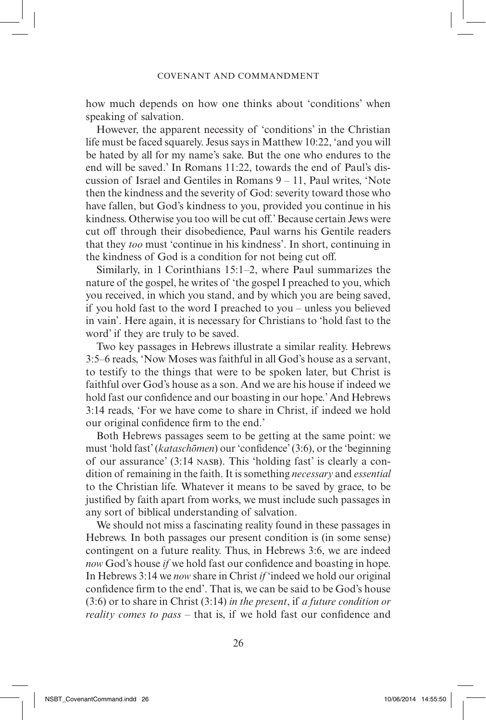how much depends on how one thinks about 'conditions' when speaking of salvation.

However, the apparent necessity of 'conditions' in the Christian life must be faced squarely. Jesus says in Matthew 10:22, 'and you will be hated by all for my name's sake. But the one who endures to the end will be saved.' In Romans 11:22, towards the end of Paul's discussion of Israel and Gentiles in Romans 9 – 11, Paul writes, 'Note then the kindness and the severity of God: severity toward those who have fallen, but God's kindness to you, provided you continue in his kindness. Otherwise you too will be cut of.' Because certain Jews were cut off through their disobedience, Paul warns his Gentile readers that they *too* must 'continue in his kindness'. In short, continuing in the kindness of God is a condition for not being cut of.

Similarly, in 1 Corinthians 15:1–2, where Paul summarizes the nature of the gospel, he writes of 'the gospel I preached to you, which you received, in which you stand, and by which you are being saved, if you hold fast to the word I preached to you – unless you believed in vain'. Here again, it is necessary for Christians to 'hold fast to the word' if they are truly to be saved.

Two key passages in Hebrews illustrate a similar reality. Hebrews 3:5–6 reads, 'Now Moses was faithful in all God's house as a servant, to testify to the things that were to be spoken later, but Christ is faithful over God's house as a son. And we are his house if indeed we hold fast our confdence and our boasting in our hope.' And Hebrews 3:14 reads, 'For we have come to share in Christ, if indeed we hold our original confdence frm to the end.'

Both Hebrews passages seem to be getting at the same point: we must 'hold fast' (*kataschōmen*) our 'confdence' (3:6), or the 'beginning of our assurance' (3:14 NASB). This 'holding fast' is clearly a condition of remaining in the faith. It is something *necessary* and *essential*  to the Christian life. Whatever it means to be saved by grace, to be justifed by faith apart from works, we must include such passages in any sort of biblical understanding of salvation.

We should not miss a fascinating reality found in these passages in Hebrews. In both passages our present condition is (in some sense) contingent on a future reality. Thus, in Hebrews 3:6, we are indeed *now* God's house *if* we hold fast our confdence and boasting in hope. In Hebrews 3:14 we *now* share in Christ *if* 'indeed we hold our original confdence frm to the end'. That is, we can be said to be God's house (3:6) or to share in Christ (3:14) *in the present*, if *a future condition or reality comes to pass* – that is, if we hold fast our confdence and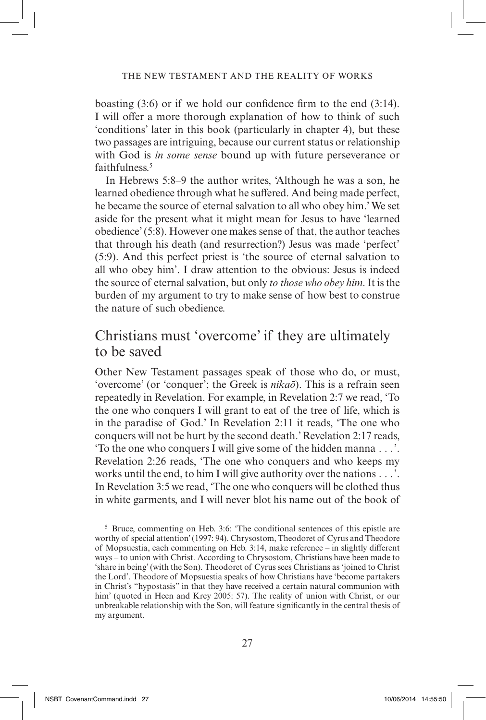#### THE NEW TESTAMENT AND THE REALITY OF WORKS

boasting (3:6) or if we hold our confdence frm to the end (3:14). I will offer a more thorough explanation of how to think of such 'conditions' later in this book (particularly in chapter 4), but these two passages are intriguing, because our current status or relationship with God is *in some sense* bound up with future perseverance or faithfulness.<sup>5</sup>

In Hebrews 5:8–9 the author writes, 'Although he was a son, he learned obedience through what he sufered. And being made perfect, he became the source of eternal salvation to all who obey him.' We set aside for the present what it might mean for Jesus to have 'learned obedience' (5:8). However one makes sense of that, the author teaches that through his death (and resurrection?) Jesus was made 'perfect' (5:9). And this perfect priest is 'the source of eternal salvation to all who obey him'. I draw attention to the obvious: Jesus is indeed the source of eternal salvation, but only *to those who obey him*. It is the burden of my argument to try to make sense of how best to construe the nature of such obedience.

## Christians must 'overcome' if they are ultimately to be saved

Other New Testament passages speak of those who do, or must, 'overcome' (or 'conquer'; the Greek is *nikaō*). This is a refrain seen repeatedly in Revelation. For example, in Revelation 2:7 we read, 'To the one who conquers I will grant to eat of the tree of life, which is in the paradise of God.' In Revelation 2:11 it reads, 'The one who conquers will not be hurt by the second death.' Revelation 2:17 reads, 'To the one who conquers I will give some of the hidden manna . . . '. Revelation 2:26 reads, 'The one who conquers and who keeps my works until the end, to him I will give authority over the nations . . . '. In Revelation 3:5 we read, 'The one who conquers will be clothed thus in white garments, and I will never blot his name out of the book of

<sup>5</sup> Bruce, commenting on Heb. 3:6: 'The conditional sentences of this epistle are worthy of special attention' (1997: 94). Chrysostom, Theodoret of Cyrus and Theodore of Mopsuestia, each commenting on Heb. 3:14, make reference – in slightly diferent ways – to union with Christ. According to Chrysostom, Christians have been made to 'share in being' (with the Son). Theodoret of Cyrus sees Christians as 'joined to Christ the Lord'. Theodore of Mopsuestia speaks of how Christians have 'become partakers in Christ's "hypostasis" in that they have received a certain natural communion with him' (quoted in Heen and Krey 2005: 57). The reality of union with Christ, or our unbreakable relationship with the Son, will feature signifcantly in the central thesis of my argument.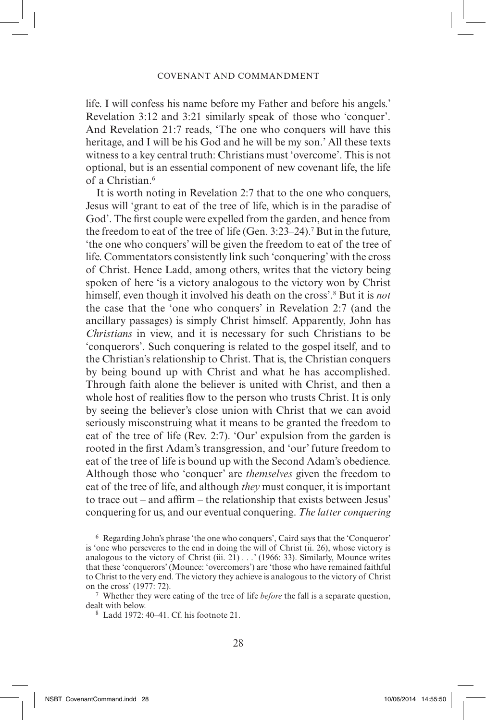life. I will confess his name before my Father and before his angels.' Revelation 3:12 and 3:21 similarly speak of those who 'conquer'. And Revelation 21:7 reads, 'The one who conquers will have this heritage, and I will be his God and he will be my son.' All these texts witness to a key central truth: Christians must 'overcome'. This is not optional, but is an essential component of new covenant life, the life of a Christian.6

It is worth noting in Revelation 2:7 that to the one who conquers, Jesus will 'grant to eat of the tree of life, which is in the paradise of God'. The frst couple were expelled from the garden, and hence from the freedom to eat of the tree of life (Gen. 3:23–24).7 But in the future, 'the one who conquers' will be given the freedom to eat of the tree of life. Commentators consistently link such 'conquering' with the cross of Christ. Hence Ladd, among others, writes that the victory being spoken of here 'is a victory analogous to the victory won by Christ himself, even though it involved his death on the cross'.8 But it is *not* the case that the 'one who conquers' in Revelation 2:7 (and the ancillary passages) is simply Christ himself. Apparently, John has *Christians* in view, and it is necessary for such Christians to be 'conquerors'. Such conquering is related to the gospel itself, and to the Christian's relationship to Christ. That is, the Christian conquers by being bound up with Christ and what he has accomplished. Through faith alone the believer is united with Christ, and then a whole host of realities flow to the person who trusts Christ. It is only by seeing the believer's close union with Christ that we can avoid seriously misconstruing what it means to be granted the freedom to eat of the tree of life (Rev. 2:7). 'Our' expulsion from the garden is rooted in the frst Adam's transgression, and 'our' future freedom to eat of the tree of life is bound up with the Second Adam's obedience. Although those who 'conquer' are *themselves* given the freedom to eat of the tree of life, and although *they* must conquer, it is important to trace out – and affirm – the relationship that exists between Jesus' conquering for us, and our eventual conquering. *The latter conquering* 

<sup>6</sup> Regarding John's phrase 'the one who conquers', Caird says that the 'Conqueror' is 'one who perseveres to the end in doing the will of Christ (ii. 26), whose victory is analogous to the victory of Christ (iii. 21) . . . ' (1966: 33). Similarly, Mounce writes that these 'conquerors' (Mounce: 'overcomers') are 'those who have remained faithful to Christ to the very end. The victory they achieve is analogous to the victory of Christ on the cross' (1977: 72).

<sup>7</sup> Whether they were eating of the tree of life *before* the fall is a separate question, dealt with below.

<sup>8</sup> Ladd 1972: 40–41. Cf. his footnote 21.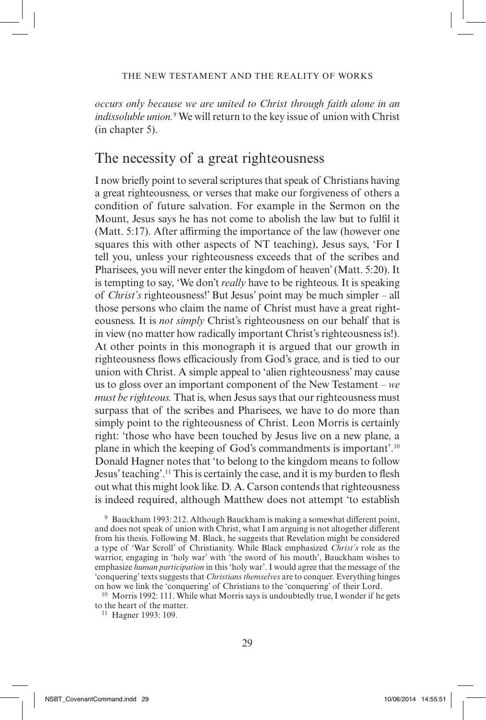#### THE NEW TESTAMENT AND THE REALITY OF WORKS

*occurs only because we are united to Christ through faith alone in an indissoluble union.*<sup>9</sup> We will return to the key issue of union with Christ (in chapter 5).

## The necessity of a great righteousness

I now briefy point to several scriptures that speak of Christians having a great righteousness, or verses that make our forgiveness of others a condition of future salvation. For example in the Sermon on the Mount, Jesus says he has not come to abolish the law but to fulfl it (Matt. 5:17). After affirming the importance of the law (however one squares this with other aspects of NT teaching), Jesus says, 'For I tell you, unless your righteousness exceeds that of the scribes and Pharisees, you will never enter the kingdom of heaven' (Matt. 5:20). It is tempting to say, 'We don't *really* have to be righteous. It is speaking of *Christ's* righteousness!' But Jesus' point may be much simpler – all those persons who claim the name of Christ must have a great righteousness. It is *not simply* Christ's righteousness on our behalf that is in view (no matter how radically important Christ's righteousness is!). At other points in this monograph it is argued that our growth in righteousness flows efficaciously from God's grace, and is tied to our union with Christ. A simple appeal to 'alien righteousness' may cause us to gloss over an important component of the New Testament – *we must be righteous.* That is, when Jesus says that our righteousness must surpass that of the scribes and Pharisees, we have to do more than simply point to the righteousness of Christ. Leon Morris is certainly right: 'those who have been touched by Jesus live on a new plane, a plane in which the keeping of God's commandments is important'.10 Donald Hagner notes that 'to belong to the kingdom means to follow Jesus' teaching'.11 This is certainly the case, and it is my burden to fesh out what this might look like. D. A. Carson contends that righteousness is indeed required, although Matthew does not attempt 'to establish

<sup>10</sup> Morris 1992: 111. While what Morris says is undoubtedly true, I wonder if he gets to the heart of the matter.

<sup>11</sup> Hagner 1993: 109.

<sup>9</sup> Bauckham 1993: 212. Although Bauckham is making a somewhat diferent point, and does not speak of union with Christ, what I am arguing is not altogether diferent from his thesis. Following M. Black, he suggests that Revelation might be considered a type of 'War Scroll' of Christianity. While Black emphasized *Christ's* role as the warrior, engaging in 'holy war' with 'the sword of his mouth', Bauckham wishes to emphasize *human participation* in this 'holy war'. I would agree that the message of the 'conquering' texts suggests that *Christians themselves* are to conquer. Everything hinges on how we link the 'conquering' of Christians to the 'conquering' of their Lord.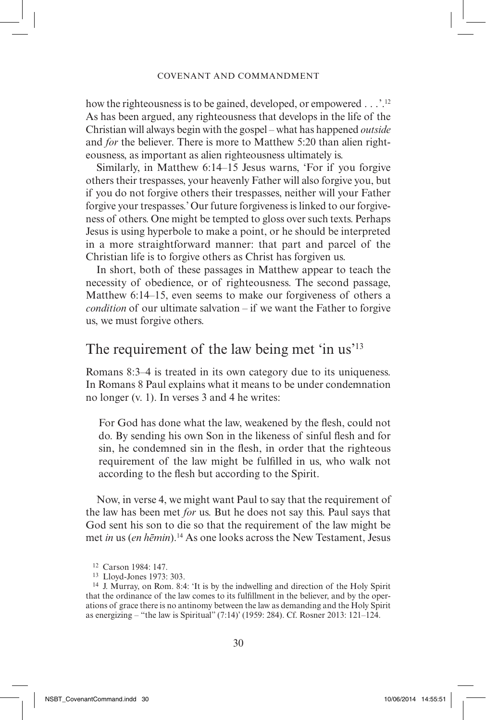how the righteousness is to be gained, developed, or empowered . . . '.<sup>12</sup> As has been argued, any righteousness that develops in the life of the Christian will always begin with the gospel – what has happened *outside*  and *for* the believer. There is more to Matthew 5:20 than alien righteousness, as important as alien righteousness ultimately is.

Similarly, in Matthew 6:14–15 Jesus warns, 'For if you forgive others their trespasses, your heavenly Father will also forgive you, but if you do not forgive others their trespasses, neither will your Father forgive your trespasses.' Our future forgiveness is linked to our forgiveness of others. One might be tempted to gloss over such texts. Perhaps Jesus is using hyperbole to make a point, or he should be interpreted in a more straightforward manner: that part and parcel of the Christian life is to forgive others as Christ has forgiven us.

In short, both of these passages in Matthew appear to teach the necessity of obedience, or of righteousness. The second passage, Matthew 6:14–15, even seems to make our forgiveness of others a *condition* of our ultimate salvation – if we want the Father to forgive us, we must forgive others.

### The requirement of the law being met 'in us'13

Romans 8:3–4 is treated in its own category due to its uniqueness. In Romans 8 Paul explains what it means to be under condemnation no longer (v. 1). In verses 3 and 4 he writes:

For God has done what the law, weakened by the fesh, could not do. By sending his own Son in the likeness of sinful fesh and for sin, he condemned sin in the fesh, in order that the righteous requirement of the law might be fulflled in us, who walk not according to the fesh but according to the Spirit.

Now, in verse 4, we might want Paul to say that the requirement of the law has been met *for* us. But he does not say this. Paul says that God sent his son to die so that the requirement of the law might be met *in* us (*en hēmin*).14 As one looks across the New Testament, Jesus

<sup>12</sup> Carson 1984: 147.

<sup>13</sup> Lloyd-Jones 1973: 303.

<sup>14</sup> J. Murray, on Rom. 8:4: 'It is by the indwelling and direction of the Holy Spirit that the ordinance of the law comes to its fulfllment in the believer, and by the operations of grace there is no antinomy between the law as demanding and the Holy Spirit as energizing – "the law is Spiritual" (7:14)' (1959: 284). Cf. Rosner 2013: 121–124.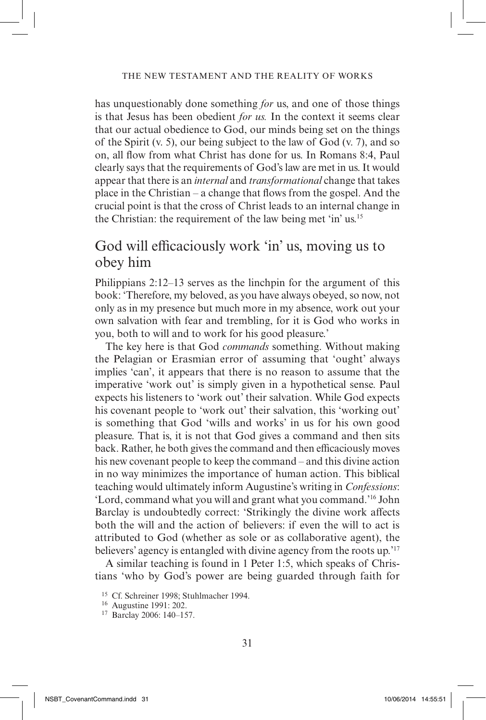#### THE NEW TESTAMENT AND THE REALITY OF WORKS

has unquestionably done something *for* us, and one of those things is that Jesus has been obedient *for us.* In the context it seems clear that our actual obedience to God, our minds being set on the things of the Spirit (v. 5), our being subject to the law of God (v. 7), and so on, all fow from what Christ has done for us. In Romans 8:4, Paul clearly says that the requirements of God's law are met in us. It would appear that there is an *internal* and *transformational* change that takes place in the Christian – a change that fows from the gospel. And the crucial point is that the cross of Christ leads to an internal change in the Christian: the requirement of the law being met 'in' us.15

## God will efficaciously work 'in' us, moving us to obey him

Philippians 2:12–13 serves as the linchpin for the argument of this book: 'Therefore, my beloved, as you have always obeyed, so now, not only as in my presence but much more in my absence, work out your own salvation with fear and trembling, for it is God who works in you, both to will and to work for his good pleasure.'

The key here is that God *commands* something. Without making the Pelagian or Erasmian error of assuming that 'ought' always implies 'can', it appears that there is no reason to assume that the imperative 'work out' is simply given in a hypothetical sense. Paul expects his listeners to 'work out' their salvation. While God expects his covenant people to 'work out' their salvation, this 'working out' is something that God 'wills and works' in us for his own good pleasure. That is, it is not that God gives a command and then sits back. Rather, he both gives the command and then efficaciously moves his new covenant people to keep the command – and this divine action in no way minimizes the importance of human action. This biblical teaching would ultimately inform Augustine's writing in *Confessions*: 'Lord, command what you will and grant what you command.'16 John Barclay is undoubtedly correct: 'Strikingly the divine work afects both the will and the action of believers: if even the will to act is attributed to God (whether as sole or as collaborative agent), the believers' agency is entangled with divine agency from the roots up.'17

A similar teaching is found in 1 Peter 1:5, which speaks of Christians 'who by God's power are being guarded through faith for

<sup>&</sup>lt;sup>15</sup> Cf. Schreiner 1998: Stuhlmacher 1994.

<sup>16</sup> Augustine 1991: 202.

<sup>17</sup> Barclay 2006: 140–157.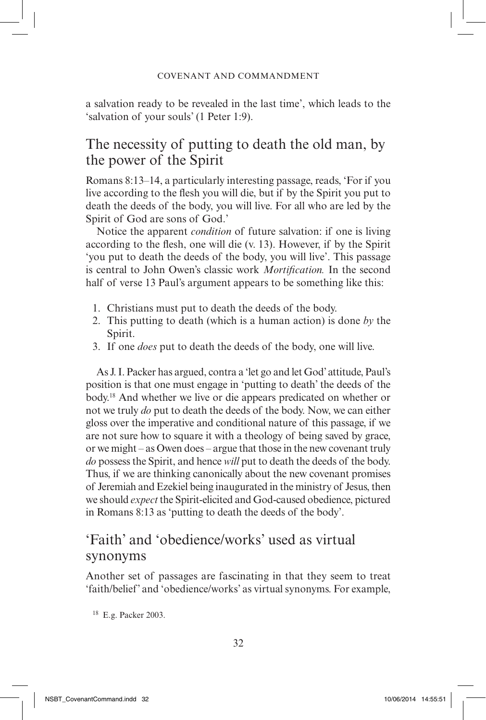a salvation ready to be revealed in the last time', which leads to the 'salvation of your souls' (1 Peter 1:9).

## The necessity of putting to death the old man, by the power of the Spirit

Romans 8:13–14, a particularly interesting passage, reads, 'For if you live according to the fesh you will die, but if by the Spirit you put to death the deeds of the body, you will live. For all who are led by the Spirit of God are sons of God.'

Notice the apparent *condition* of future salvation: if one is living according to the fesh, one will die (v. 13). However, if by the Spirit 'you put to death the deeds of the body, you will live'. This passage is central to John Owen's classic work *Mortifcation.* In the second half of verse 13 Paul's argument appears to be something like this:

- 1. Christians must put to death the deeds of the body.
- 2. This putting to death (which is a human action) is done *by* the Spirit.
- 3. If one *does* put to death the deeds of the body, one will live.

As J. I. Packer has argued, contra a 'let go and let God' attitude, Paul's position is that one must engage in 'putting to death' the deeds of the body.18 And whether we live or die appears predicated on whether or not we truly *do* put to death the deeds of the body. Now, we can either gloss over the imperative and conditional nature of this passage, if we are not sure how to square it with a theology of being saved by grace, or we might – as Owen does – argue that those in the new covenant truly *do* possess the Spirit, and hence *will* put to death the deeds of the body. Thus, if we are thinking canonically about the new covenant promises of Jeremiah and Ezekiel being inaugurated in the ministry of Jesus, then we should *expect* the Spirit-elicited and God-caused obedience, pictured in Romans 8:13 as 'putting to death the deeds of the body'.

## 'Faith' and 'obedience/works' used as virtual synonyms

Another set of passages are fascinating in that they seem to treat 'faith/belief' and 'obedience/works' as virtual synonyms. For example,

<sup>18</sup> E.g. Packer 2003.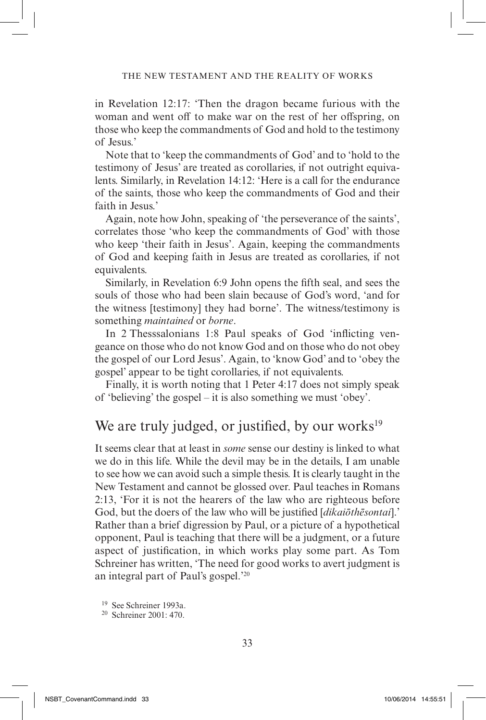in Revelation 12:17: 'Then the dragon became furious with the woman and went off to make war on the rest of her offspring, on those who keep the commandments of God and hold to the testimony of Jesus.'

Note that to 'keep the commandments of God' and to 'hold to the testimony of Jesus' are treated as corollaries, if not outright equivalents. Similarly, in Revelation 14:12: 'Here is a call for the endurance of the saints, those who keep the commandments of God and their faith in Jesus.'

Again, note how John, speaking of 'the perseverance of the saints', correlates those 'who keep the commandments of God' with those who keep 'their faith in Jesus'. Again, keeping the commandments of God and keeping faith in Jesus are treated as corollaries, if not equivalents.

Similarly, in Revelation 6:9 John opens the ffth seal, and sees the souls of those who had been slain because of God's word, 'and for the witness [testimony] they had borne'. The witness/testimony is something *maintained* or *borne*.

In 2 Thesssalonians 1:8 Paul speaks of God 'inficting vengeance on those who do not know God and on those who do not obey the gospel of our Lord Jesus'. Again, to 'know God' and to 'obey the gospel' appear to be tight corollaries, if not equivalents.

Finally, it is worth noting that 1 Peter 4:17 does not simply speak of 'believing' the gospel – it is also something we must 'obey'.

## We are truly judged, or justified, by our works $19$

It seems clear that at least in *some* sense our destiny is linked to what we do in this life. While the devil may be in the details, I am unable to see how we can avoid such a simple thesis. It is clearly taught in the New Testament and cannot be glossed over. Paul teaches in Romans 2:13, 'For it is not the hearers of the law who are righteous before God, but the doers of the law who will be justifed [*dikaiōthēsontai*].' Rather than a brief digression by Paul, or a picture of a hypothetical opponent, Paul is teaching that there will be a judgment, or a future aspect of justifcation, in which works play some part. As Tom Schreiner has written, 'The need for good works to avert judgment is an integral part of Paul's gospel.'20

<sup>19</sup> See Schreiner 1993a.

<sup>20</sup> Schreiner 2001: 470.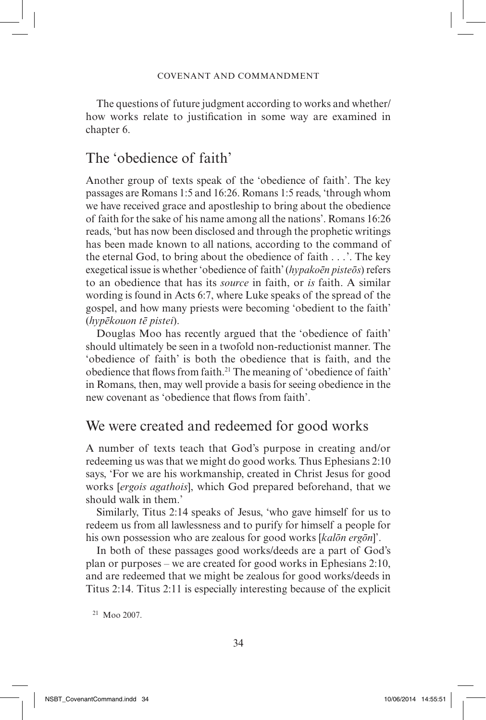The questions of future judgment according to works and whether/ how works relate to justifcation in some way are examined in chapter 6.

## The 'obedience of faith'

Another group of texts speak of the 'obedience of faith'. The key passages are Romans 1:5 and 16:26. Romans 1:5 reads, 'through whom we have received grace and apostleship to bring about the obedience of faith for the sake of his name among all the nations'. Romans 16:26 reads, 'but has now been disclosed and through the prophetic writings has been made known to all nations, according to the command of the eternal God, to bring about the obedience of faith  $\dots$ . The key exegetical issue is whether 'obedience of faith' (*hypakoēn pisteōs*) refers to an obedience that has its *source* in faith, or *is* faith. A similar wording is found in Acts 6:7, where Luke speaks of the spread of the gospel, and how many priests were becoming 'obedient to the faith' (*hypēkouon tē pistei*).

Douglas Moo has recently argued that the 'obedience of faith' should ultimately be seen in a twofold non-reductionist manner. The 'obedience of faith' is both the obedience that is faith, and the obedience that fows from faith.21 The meaning of 'obedience of faith' in Romans, then, may well provide a basis for seeing obedience in the new covenant as 'obedience that fows from faith'.

## We were created and redeemed for good works

A number of texts teach that God's purpose in creating and/or redeeming us was that we might do good works. Thus Ephesians 2:10 says, 'For we are his workmanship, created in Christ Jesus for good works [*ergois agathois*], which God prepared beforehand, that we should walk in them.'

Similarly, Titus 2:14 speaks of Jesus, 'who gave himself for us to redeem us from all lawlessness and to purify for himself a people for his own possession who are zealous for good works [*kalōn ergōn*]'.

In both of these passages good works/deeds are a part of God's plan or purposes – we are created for good works in Ephesians 2:10, and are redeemed that we might be zealous for good works/deeds in Titus 2:14. Titus 2:11 is especially interesting because of the explicit

<sup>21</sup> Moo 2007.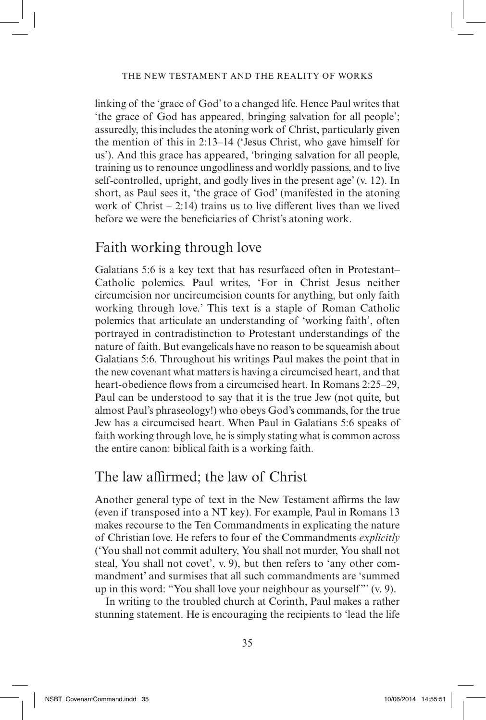#### THE NEW TESTAMENT AND THE REALITY OF WORKS

linking of the 'grace of God' to a changed life. Hence Paul writes that 'the grace of God has appeared, bringing salvation for all people'; assuredly, this includes the atoning work of Christ, particularly given the mention of this in 2:13–14 ('Jesus Christ, who gave himself for us'). And this grace has appeared, 'bringing salvation for all people, training us to renounce ungodliness and worldly passions, and to live self-controlled, upright, and godly lives in the present age' (v. 12). In short, as Paul sees it, 'the grace of God' (manifested in the atoning work of Christ – 2:14) trains us to live diferent lives than we lived before we were the benefciaries of Christ's atoning work.

## Faith working through love

Galatians 5:6 is a key text that has resurfaced often in Protestant– Catholic polemics. Paul writes, 'For in Christ Jesus neither circumcision nor uncircumcision counts for anything, but only faith working through love.' This text is a staple of Roman Catholic polemics that articulate an understanding of 'working faith', often portrayed in contradistinction to Protestant understandings of the nature of faith. But evangelicals have no reason to be squeamish about Galatians 5:6. Throughout his writings Paul makes the point that in the new covenant what matters is having a circumcised heart, and that heart-obedience flows from a circumcised heart. In Romans 2:25–29, Paul can be understood to say that it is the true Jew (not quite, but almost Paul's phraseology!) who obeys God's commands, for the true Jew has a circumcised heart. When Paul in Galatians 5:6 speaks of faith working through love, he is simply stating what is common across the entire canon: biblical faith is a working faith.

## The law affirmed; the law of Christ

Another general type of text in the New Testament affirms the law (even if transposed into a NT key). For example, Paul in Romans 13 makes recourse to the Ten Commandments in explicating the nature of Christian love. He refers to four of the Commandments *explicitly*  ('You shall not commit adultery, You shall not murder, You shall not steal, You shall not covet', v. 9), but then refers to 'any other commandment' and surmises that all such commandments are 'summed up in this word: "You shall love your neighbour as yourself" (v. 9).

In writing to the troubled church at Corinth, Paul makes a rather stunning statement. He is encouraging the recipients to 'lead the life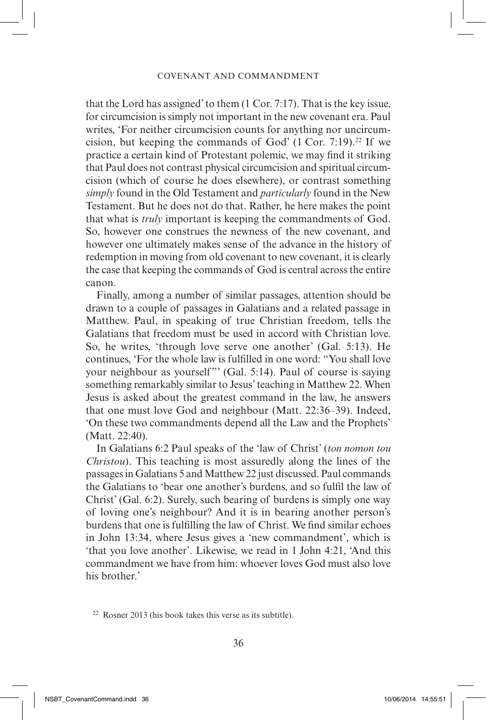that the Lord has assigned' to them (1 Cor. 7:17). That is the key issue, for circumcision is simply not important in the new covenant era. Paul writes, 'For neither circumcision counts for anything nor uncircumcision, but keeping the commands of God'  $(1 \text{ Cor. } 7:19)$ .<sup>22</sup> If we practice a certain kind of Protestant polemic, we may fnd it striking that Paul does not contrast physical circumcision and spiritual circumcision (which of course he does elsewhere), or contrast something *simply* found in the Old Testament and *particularly* found in the New Testament. But he does not do that. Rather, he here makes the point that what is *truly* important is keeping the commandments of God. So, however one construes the newness of the new covenant, and however one ultimately makes sense of the advance in the history of redemption in moving from old covenant to new covenant, it is clearly the case that keeping the commands of God is central across the entire canon.

Finally, among a number of similar passages, attention should be drawn to a couple of passages in Galatians and a related passage in Matthew. Paul, in speaking of true Christian freedom, tells the Galatians that freedom must be used in accord with Christian love. So, he writes, 'through love serve one another' (Gal. 5:13). He continues, 'For the whole law is fulflled in one word: "You shall love your neighbour as yourself" (Gal. 5:14). Paul of course is saying something remarkably similar to Jesus' teaching in Matthew 22. When Jesus is asked about the greatest command in the law, he answers that one must love God and neighbour (Matt. 22:36–39). Indeed, 'On these two commandments depend all the Law and the Prophets' (Matt. 22:40).

In Galatians 6:2 Paul speaks of the 'law of Christ' (*ton nomon tou Christou*). This teaching is most assuredly along the lines of the passages in Galatians 5 and Matthew 22 just discussed. Paul commands the Galatians to 'bear one another's burdens, and so fulfl the law of Christ' (Gal. 6:2). Surely, such bearing of burdens is simply one way of loving one's neighbour? And it is in bearing another person's burdens that one is fulflling the law of Christ. We fnd similar echoes in John 13:34, where Jesus gives a 'new commandment', which is 'that you love another'. Likewise, we read in 1 John 4:21, 'And this commandment we have from him: whoever loves God must also love his brother.

<sup>22</sup> Rosner 2013 (his book takes this verse as its subtitle).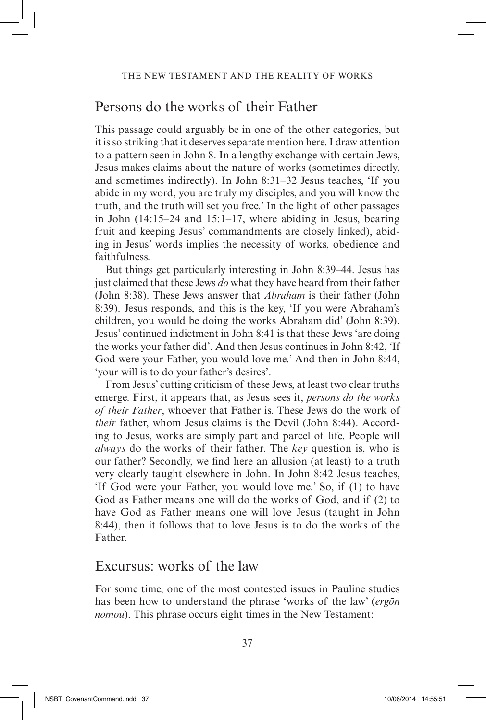## Persons do the works of their Father

This passage could arguably be in one of the other categories, but it is so striking that it deserves separate mention here. I draw attention to a pattern seen in John 8. In a lengthy exchange with certain Jews, Jesus makes claims about the nature of works (sometimes directly, and sometimes indirectly). In John 8:31–32 Jesus teaches, 'If you abide in my word, you are truly my disciples, and you will know the truth, and the truth will set you free.' In the light of other passages in John (14:15–24 and 15:1–17, where abiding in Jesus, bearing fruit and keeping Jesus' commandments are closely linked), abiding in Jesus' words implies the necessity of works, obedience and faithfulness.

But things get particularly interesting in John 8:39–44. Jesus has just claimed that these Jews *do* what they have heard from their father (John 8:38). These Jews answer that *Abraham* is their father (John 8:39). Jesus responds, and this is the key, 'If you were Abraham's children, you would be doing the works Abraham did' (John 8:39). Jesus' continued indictment in John 8:41 is that these Jews 'are doing the works your father did'. And then Jesus continues in John 8:42, 'If God were your Father, you would love me.' And then in John 8:44, 'your will is to do your father's desires'.

From Jesus' cutting criticism of these Jews, at least two clear truths emerge. First, it appears that, as Jesus sees it, *persons do the works of their Father*, whoever that Father is. These Jews do the work of *their* father, whom Jesus claims is the Devil (John 8:44). According to Jesus, works are simply part and parcel of life. People will *always* do the works of their father. The *key* question is, who is our father? Secondly, we fnd here an allusion (at least) to a truth very clearly taught elsewhere in John. In John 8:42 Jesus teaches, 'If God were your Father, you would love me.' So, if (1) to have God as Father means one will do the works of God, and if (2) to have God as Father means one will love Jesus (taught in John 8:44), then it follows that to love Jesus is to do the works of the Father.

## Excursus: works of the law

For some time, one of the most contested issues in Pauline studies has been how to understand the phrase 'works of the law' (*ergōn nomou*). This phrase occurs eight times in the New Testament: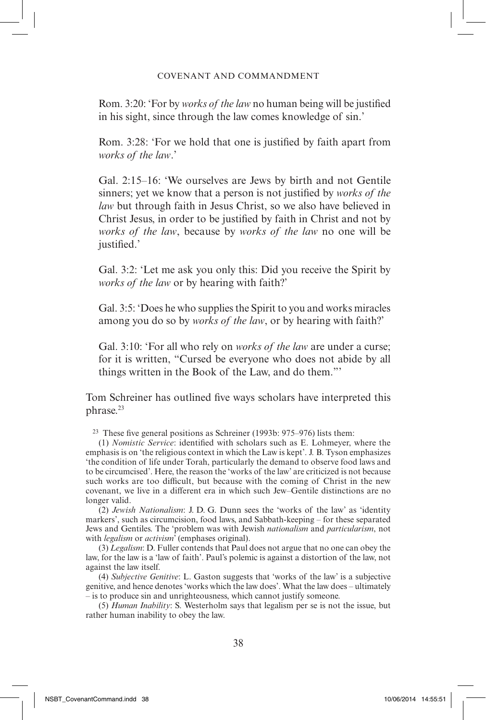Rom. 3:20: 'For by *works of the law* no human being will be justifed in his sight, since through the law comes knowledge of sin.'

Rom. 3:28: 'For we hold that one is justifed by faith apart from *works of the law*.'

Gal. 2:15–16: 'We ourselves are Jews by birth and not Gentile sinners; yet we know that a person is not justifed by *works of the law* but through faith in Jesus Christ, so we also have believed in Christ Jesus, in order to be justifed by faith in Christ and not by *works of the law*, because by *works of the law* no one will be justified.'

Gal. 3:2: 'Let me ask you only this: Did you receive the Spirit by *works of the law* or by hearing with faith?'

Gal. 3:5: 'Does he who supplies the Spirit to you and works miracles among you do so by *works of the law*, or by hearing with faith?'

Gal. 3:10: 'For all who rely on *works of the law* are under a curse; for it is written, "Cursed be everyone who does not abide by all things written in the Book of the Law, and do them." '

Tom Schreiner has outlined fve ways scholars have interpreted this phrase.23

<sup>23</sup> These fve general positions as Schreiner (1993b: 975–976) lists them:

(1) *Nomistic Service*: identifed with scholars such as E. Lohmeyer, where the emphasis is on 'the religious context in which the Law is kept'. J. B. Tyson emphasizes 'the condition of life under Torah, particularly the demand to observe food laws and to be circumcised'. Here, the reason the 'works of the law' are criticized is not because such works are too difficult, but because with the coming of Christ in the new covenant, we live in a diferent era in which such Jew–Gentile distinctions are no longer valid.

(2) *Jewish Nationalism*: J. D. G. Dunn sees the 'works of the law' as 'identity markers', such as circumcision, food laws, and Sabbath-keeping – for these separated Jews and Gentiles. The 'problem was with Jewish *nationalism* and *particularism*, not with *legalism* or *activism*' (emphases original).

(3) *Legalism*: D. Fuller contends that Paul does not argue that no one can obey the law, for the law is a 'law of faith'. Paul's polemic is against a distortion of the law, not against the law itself.

(4) *Subjective Genitive*: L. Gaston suggests that 'works of the law' is a subjective genitive, and hence denotes 'works which the law does'. What the law does – ultimately – is to produce sin and unrighteousness, which cannot justify someone.

(5) *Human Inability*: S. Westerholm says that legalism per se is not the issue, but rather human inability to obey the law.